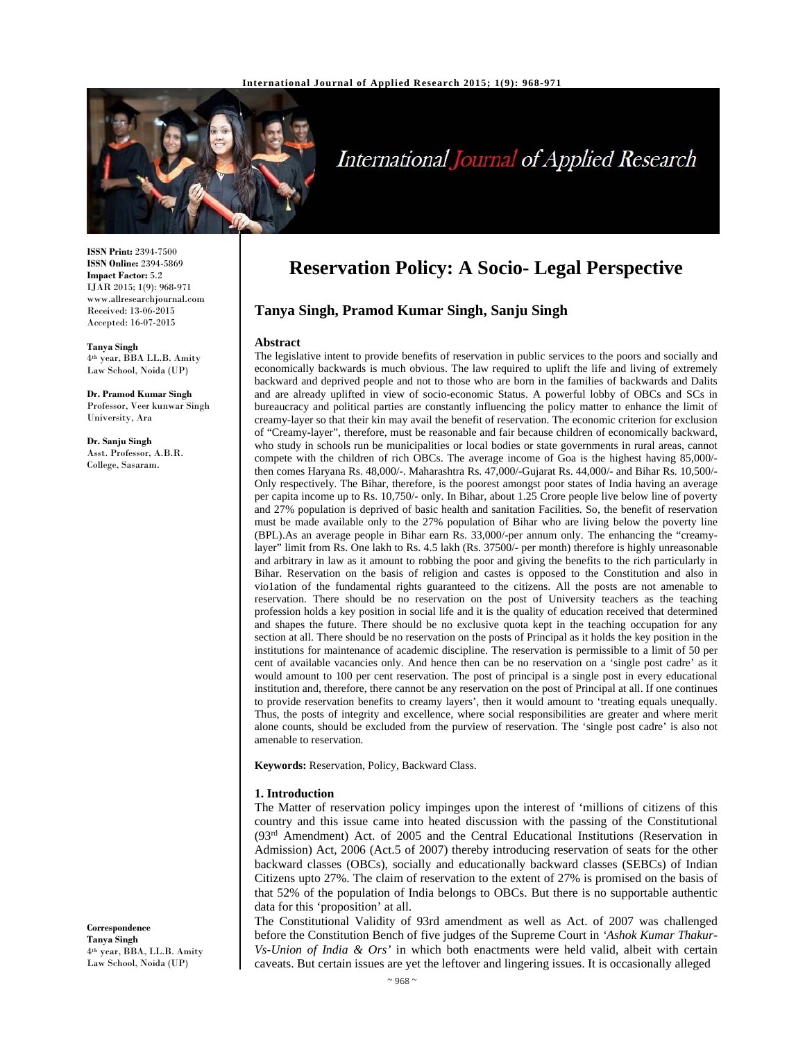

# International Journal of Applied Research

**ISSN Print:** 2394-7500 **ISSN Online:** 2394-5869 **Impact Factor:** 5.2 IJAR 2015; 1(9): 968-971 www.allresearchjournal.com Received: 13-06-2015 Accepted: 16-07-2015

**Tanya Singh**  4th year, BBA LL.B. Amity Law School, Noida (UP)

**Dr. Pramod Kumar Singh**  Professor, Veer kunwar Singh University, Ara

**Dr. Sanju Singh**  Asst. Professor, A.B.R. College, Sasaram.

**Correspondence Tanya Singh**  4th year, BBA, LL.B. Amity Law School, Noida (UP)

## **Reservation Policy: A Socio- Legal Perspective**

## **Tanya Singh, Pramod Kumar Singh, Sanju Singh**

#### **Abstract**

The legislative intent to provide benefits of reservation in public services to the poors and socially and economically backwards is much obvious. The law required to uplift the life and living of extremely backward and deprived people and not to those who are born in the families of backwards and Dalits and are already uplifted in view of socio-economic Status. A powerful lobby of OBCs and SCs in bureaucracy and political parties are constantly influencing the policy matter to enhance the limit of creamy-layer so that their kin may avail the benefit of reservation. The economic criterion for exclusion of "Creamy-layer", therefore, must be reasonable and fair because children of economically backward, who study in schools run be municipalities or local bodies or state governments in rural areas, cannot compete with the children of rich OBCs. The average income of Goa is the highest having 85,000/ then comes Haryana Rs. 48,000/-. Maharashtra Rs. 47,000/-Gujarat Rs. 44,000/- and Bihar Rs. 10,500/- Only respectively. The Bihar, therefore, is the poorest amongst poor states of India having an average per capita income up to Rs. 10,750/- only. In Bihar, about 1.25 Crore people live below line of poverty and 27% population is deprived of basic health and sanitation Facilities. So, the benefit of reservation must be made available only to the 27% population of Bihar who are living below the poverty line (BPL).As an average people in Bihar earn Rs. 33,000/-per annum only. The enhancing the "creamylayer" limit from Rs. One lakh to Rs. 4.5 lakh (Rs. 37500/- per month) therefore is highly unreasonable and arbitrary in law as it amount to robbing the poor and giving the benefits to the rich particularly in Bihar. Reservation on the basis of religion and castes is opposed to the Constitution and also in vio1ation of the fundamental rights guaranteed to the citizens. All the posts are not amenable to reservation. There should be no reservation on the post of University teachers as the teaching profession holds a key position in social life and it is the quality of education received that determined and shapes the future. There should be no exclusive quota kept in the teaching occupation for any section at all. There should be no reservation on the posts of Principal as it holds the key position in the institutions for maintenance of academic discipline. The reservation is permissible to a limit of 50 per cent of available vacancies only. And hence then can be no reservation on a 'single post cadre' as it would amount to 100 per cent reservation. The post of principal is a single post in every educational institution and, therefore, there cannot be any reservation on the post of Principal at all. If one continues to provide reservation benefits to creamy layers', then it would amount to 'treating equals unequally. Thus, the posts of integrity and excellence, where social responsibilities are greater and where merit alone counts, should be excluded from the purview of reservation. The 'single post cadre' is also not amenable to reservation*.* 

**Keywords:** Reservation, Policy, Backward Class.

#### **1. Introduction**

The Matter of reservation policy impinges upon the interest of 'millions of citizens of this country and this issue came into heated discussion with the passing of the Constitutional  $(93<sup>rd</sup>$  Amendment) Act. of 2005 and the Central Educational Institutions (Reservation in Admission) Act, 2006 (Act.5 of 2007) thereby introducing reservation of seats for the other backward classes (OBCs), socially and educationally backward classes (SEBCs) of Indian Citizens upto 27%. The claim of reservation to the extent of 27% is promised on the basis of that 52% of the population of India belongs to OBCs. But there is no supportable authentic data for this 'proposition' at all.

The Constitutional Validity of 93rd amendment as well as Act. of 2007 was challenged before the Constitution Bench of five judges of the Supreme Court in *'Ashok Kumar Thakur-Vs-Union of India & Ors'* in which both enactments were held valid, albeit with certain caveats. But certain issues are yet the leftover and lingering issues. It is occasionally alleged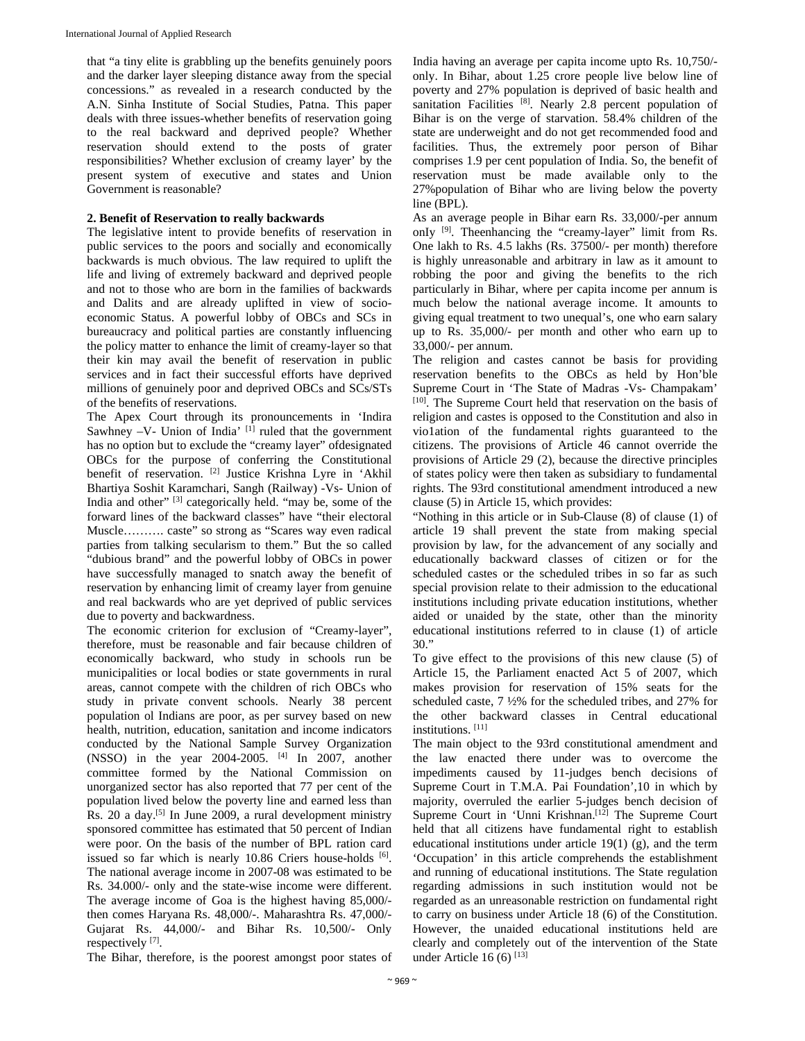that "a tiny elite is grabbling up the benefits genuinely poors and the darker layer sleeping distance away from the special concessions." as revealed in a research conducted by the A.N. Sinha Institute of Social Studies, Patna. This paper deals with three issues-whether benefits of reservation going to the real backward and deprived people? Whether reservation should extend to the posts of grater responsibilities? Whether exclusion of creamy layer' by the present system of executive and states and Union Government is reasonable?

## **2. Benefit of Reservation to really backwards**

The legislative intent to provide benefits of reservation in public services to the poors and socially and economically backwards is much obvious. The law required to uplift the life and living of extremely backward and deprived people and not to those who are born in the families of backwards and Dalits and are already uplifted in view of socioeconomic Status. A powerful lobby of OBCs and SCs in bureaucracy and political parties are constantly influencing the policy matter to enhance the limit of creamy-layer so that their kin may avail the benefit of reservation in public services and in fact their successful efforts have deprived millions of genuinely poor and deprived OBCs and SCs/STs of the benefits of reservations.

The Apex Court through its pronouncements in 'Indira Sawhney -V- Union of India' [1] ruled that the government has no option but to exclude the "creamy layer" ofdesignated OBCs for the purpose of conferring the Constitutional benefit of reservation. [2] Justice Krishna Lyre in 'Akhil Bhartiya Soshit Karamchari, Sangh (Railway) -Vs- Union of India and other" [3] categorically held. "may be, some of the forward lines of the backward classes" have "their electoral Muscle………. caste" so strong as "Scares way even radical parties from talking secularism to them." But the so called "dubious brand" and the powerful lobby of OBCs in power have successfully managed to snatch away the benefit of reservation by enhancing limit of creamy layer from genuine and real backwards who are yet deprived of public services due to poverty and backwardness.

The economic criterion for exclusion of "Creamy-layer", therefore, must be reasonable and fair because children of economically backward, who study in schools run be municipalities or local bodies or state governments in rural areas, cannot compete with the children of rich OBCs who study in private convent schools. Nearly 38 percent population ol Indians are poor, as per survey based on new health, nutrition, education, sanitation and income indicators conducted by the National Sample Survey Organization (NSSO) in the year 2004-2005. [4] In 2007, another committee formed by the National Commission on unorganized sector has also reported that 77 per cent of the population lived below the poverty line and earned less than Rs. 20 a day.[5] In June 2009, a rural development ministry sponsored committee has estimated that 50 percent of Indian were poor. On the basis of the number of BPL ration card issued so far which is nearly 10.86 Criers house-holds [6]. The national average income in 2007-08 was estimated to be Rs. 34.000/- only and the state-wise income were different. The average income of Goa is the highest having 85,000/ then comes Haryana Rs. 48,000/-. Maharashtra Rs. 47,000/- Gujarat Rs. 44,000/- and Bihar Rs. 10,500/- Only respectively [7].

India having an average per capita income upto Rs. 10,750/ only. In Bihar, about 1.25 crore people live below line of poverty and 27% population is deprived of basic health and sanitation Facilities  $[8]$ . Nearly 2.8 percent population of Bihar is on the verge of starvation. 58.4% children of the state are underweight and do not get recommended food and facilities. Thus, the extremely poor person of Bihar comprises 1.9 per cent population of India. So, the benefit of reservation must be made available only to the 27%population of Bihar who are living below the poverty line (BPL).

As an average people in Bihar earn Rs. 33,000/-per annum onIy [9]. Theenhancing the "creamy-layer" limit from Rs. One lakh to Rs. 4.5 lakhs (Rs. 37500/- per month) therefore is highly unreasonable and arbitrary in law as it amount to robbing the poor and giving the benefits to the rich particularly in Bihar, where per capita income per annum is much below the national average income. It amounts to giving equal treatment to two unequal's, one who earn salary up to Rs. 35,000/- per month and other who earn up to 33,000/- per annum.

The religion and castes cannot be basis for providing reservation benefits to the OBCs as held by Hon'ble Supreme Court in 'The State of Madras -Vs- Champakam' [10]. The Supreme Court held that reservation on the basis of religion and castes is opposed to the Constitution and also in vio1ation of the fundamental rights guaranteed to the citizens. The provisions of Article 46 cannot override the provisions of Article 29 (2), because the directive principles of states policy were then taken as subsidiary to fundamental rights. The 93rd constitutional amendment introduced a new clause (5) in Article 15, which provides:

"Nothing in this article or in Sub-Clause (8) of clause (1) of article 19 shall prevent the state from making special provision by law, for the advancement of any socially and educationally backward classes of citizen or for the scheduled castes or the scheduled tribes in so far as such special provision relate to their admission to the educational institutions including private education institutions, whether aided or unaided by the state, other than the minority educational institutions referred to in clause (1) of article 30."

To give effect to the provisions of this new clause (5) of Article 15, the Parliament enacted Act 5 of 2007, which makes provision for reservation of 15% seats for the scheduled caste, 7 ½% for the scheduled tribes, and 27% for the other backward classes in Central educational institutions. [11]

The main object to the 93rd constitutional amendment and the law enacted there under was to overcome the impediments caused by 11-judges bench decisions of Supreme Court in T.M.A. Pai Foundation',10 in which by majority, overruled the earlier 5-judges bench decision of Supreme Court in 'Unni Krishnan.<sup>[12]</sup> The Supreme Court held that all citizens have fundamental right to establish educational institutions under article  $19(1)$  (g), and the term 'Occupation' in this article comprehends the establishment and running of educational institutions. The State regulation regarding admissions in such institution would not be regarded as an unreasonable restriction on fundamental right to carry on business under Article 18 (6) of the Constitution. However, the unaided educational institutions held are clearly and completely out of the intervention of the State under Article 16 $(6)$ <sup>[13]</sup>

The Bihar, therefore, is the poorest amongst poor states of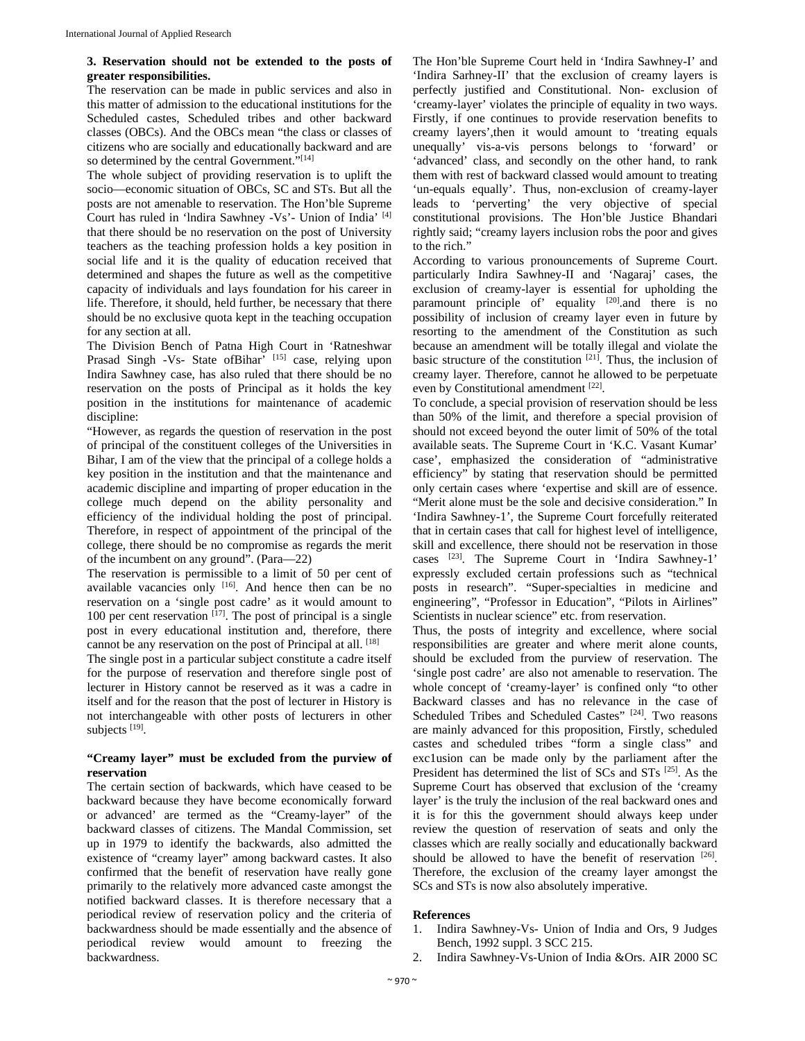### **3. Reservation should not be extended to the posts of greater responsibilities.**

The reservation can be made in public services and also in this matter of admission to the educational institutions for the Scheduled castes, Scheduled tribes and other backward classes (OBCs). And the OBCs mean "the class or classes of citizens who are socially and educationally backward and are so determined by the central Government."[14]

The whole subject of providing reservation is to uplift the socio—economic situation of OBCs, SC and STs. But all the posts are not amenable to reservation. The Hon'ble Supreme Court has ruled in 'lndira Sawhney -Vs'- Union of India' [4] that there should be no reservation on the post of University teachers as the teaching profession holds a key position in social life and it is the quality of education received that determined and shapes the future as well as the competitive capacity of individuals and lays foundation for his career in life. Therefore, it should, held further, be necessary that there should be no exclusive quota kept in the teaching occupation for any section at all.

The Division Bench of Patna High Court in 'Ratneshwar Prasad Singh -Vs- State ofBihar<sup>7</sup> [15] case, relying upon Indira Sawhney case, has also ruled that there should be no reservation on the posts of Principal as it holds the key position in the institutions for maintenance of academic discipline:

"However, as regards the question of reservation in the post of principal of the constituent colleges of the Universities in Bihar, I am of the view that the principal of a college holds a key position in the institution and that the maintenance and academic discipline and imparting of proper education in the college much depend on the ability personality and efficiency of the individual holding the post of principal. Therefore, in respect of appointment of the principal of the college, there should be no compromise as regards the merit of the incumbent on any ground". (Para—22)

The reservation is permissible to a limit of 50 per cent of available vacancies only [16]. And hence then can be no reservation on a 'single post cadre' as it would amount to 100 per cent reservation  $[17]$ . The post of principal is a single post in every educational institution and, therefore, there cannot be any reservation on the post of Principal at all. [18] The single post in a particular subject constitute a cadre itself for the purpose of reservation and therefore single post of

lecturer in History cannot be reserved as it was a cadre in itself and for the reason that the post of lecturer in History is not interchangeable with other posts of lecturers in other subjects [19].

## **"Creamy layer" must be excluded from the purview of reservation**

The certain section of backwards, which have ceased to be backward because they have become economically forward or advanced' are termed as the "Creamy-layer" of the backward classes of citizens. The Mandal Commission, set up in 1979 to identify the backwards, also admitted the existence of "creamy layer" among backward castes. It also confirmed that the benefit of reservation have really gone primarily to the relatively more advanced caste amongst the notified backward classes. It is therefore necessary that a periodical review of reservation policy and the criteria of backwardness should be made essentially and the absence of periodical review would amount to freezing the backwardness.

The Hon'ble Supreme Court held in 'Indira Sawhney-I' and 'Indira Sarhney-II' that the exclusion of creamy layers is perfectly justified and Constitutional. Non- exclusion of 'creamy-layer' violates the principle of equality in two ways. Firstly, if one continues to provide reservation benefits to creamy layers',then it would amount to 'treating equals unequally' vis-a-vis persons belongs to 'forward' or 'advanced' class, and secondly on the other hand, to rank them with rest of backward classed would amount to treating 'un-equals equally'. Thus, non-exclusion of creamy-layer leads to 'perverting' the very objective of special constitutional provisions. The Hon'ble Justice Bhandari rightly said; "creamy layers inclusion robs the poor and gives to the rich."

According to various pronouncements of Supreme Court. particularly Indira Sawhney-II and 'Nagaraj' cases, the exclusion of creamy-layer is essential for upholding the paramount principle of' equality  $[20]$  and there is no possibility of inclusion of creamy layer even in future by resorting to the amendment of the Constitution as such because an amendment will be totally illegal and violate the basic structure of the constitution  $[21]$ . Thus, the inclusion of creamy layer. Therefore, cannot he allowed to be perpetuate even by Constitutional amendment [22].

To conclude, a special provision of reservation should be less than 50% of the limit, and therefore a special provision of should not exceed beyond the outer limit of 50% of the total available seats. The Supreme Court in 'K.C. Vasant Kumar' case', emphasized the consideration of "administrative efficiency" by stating that reservation should be permitted only certain cases where 'expertise and skill are of essence. "Merit alone must be the sole and decisive consideration." In 'Indira Sawhney-1', the Supreme Court forcefully reiterated that in certain cases that call for highest level of intelligence, skill and excellence, there should not be reservation in those cases [23]. The Supreme Court in 'Indira Sawhney-1' expressly excluded certain professions such as "technical posts in research". "Super-specialties in medicine and engineering", "Professor in Education", "Pilots in Airlines" Scientists in nuclear science" etc. from reservation.

Thus, the posts of integrity and excellence, where social responsibilities are greater and where merit alone counts, should be excluded from the purview of reservation. The 'single post cadre' are also not amenable to reservation. The whole concept of 'creamy-layer' is confined only "to other Backward classes and has no relevance in the case of Scheduled Tribes and Scheduled Castes" [24]. Two reasons are mainly advanced for this proposition, Firstly, scheduled castes and scheduled tribes "form a single class" and exc1usion can be made only by the parliament after the President has determined the list of SCs and STs [25]. As the Supreme Court has observed that exclusion of the 'creamy layer' is the truly the inclusion of the real backward ones and it is for this the government should always keep under review the question of reservation of seats and only the classes which are really socially and educationally backward should be allowed to have the benefit of reservation  $[26]$ . Therefore, the exclusion of the creamy layer amongst the SCs and STs is now also absolutely imperative.

## **References**

- 1. Indira Sawhney-Vs- Union of India and Ors, 9 Judges Bench, 1992 suppl. 3 SCC 215.
- 2. Indira Sawhney-Vs-Union of India &Ors. AIR 2000 SC